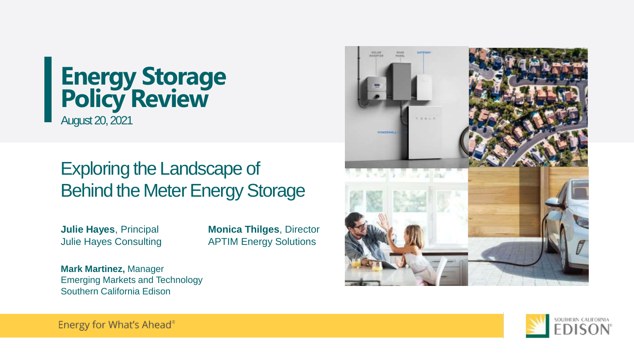## **Energy Storage Policy Review** August 20, 2021

## Exploring the Landscape of Behind the Meter Energy Storage

**Julie Hayes**, Principal Julie Hayes Consulting **Monica Thilges**, Director APTIM Energy Solutions

**Mark Martinez,** Manager Emerging Markets and Technology Southern California Edison





Energy for What's Ahead®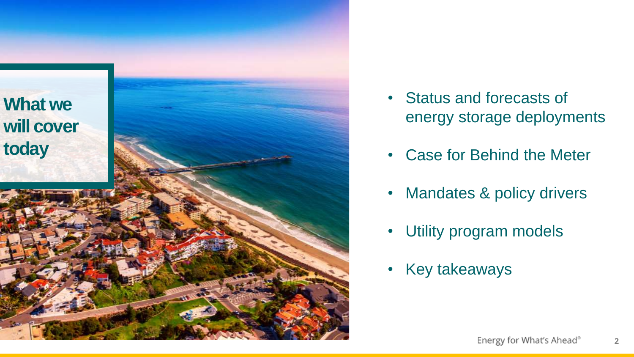

- Status and forecasts of energy storage deployments
- Case for Behind the Meter
- Mandates & policy drivers
- Utility program models
- Key takeaways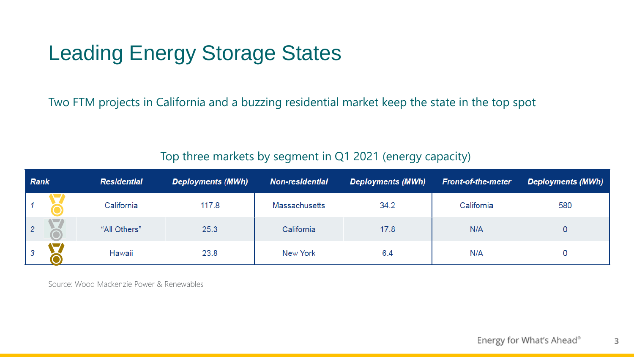# Leading Energy Storage States

Two FTM projects in California and a buzzing residential market keep the state in the top spot

### Top three markets by segment in Q1 2021 (energy capacity)

| <b>Rank</b>    |  | <b>Residential</b> | <b>Deployments (MWh)</b> | <b>Non-residential</b> | <b>Deployments (MWh)</b> | <b>Front-of-the-meter</b> | <b>Deployments (MWh)</b> |
|----------------|--|--------------------|--------------------------|------------------------|--------------------------|---------------------------|--------------------------|
|                |  | California         | 117.8                    | <b>Massachusetts</b>   | 34.2                     | California                | 580                      |
| 2 <sup>7</sup> |  | "All Others"       | 25.3                     | California             | 17.8                     | N/A                       |                          |
| $\mathcal{S}$  |  | Hawaii             | 23.8                     | New York               | 6.4                      | N/A                       |                          |

Source: Wood Mackenzie Power & Renewables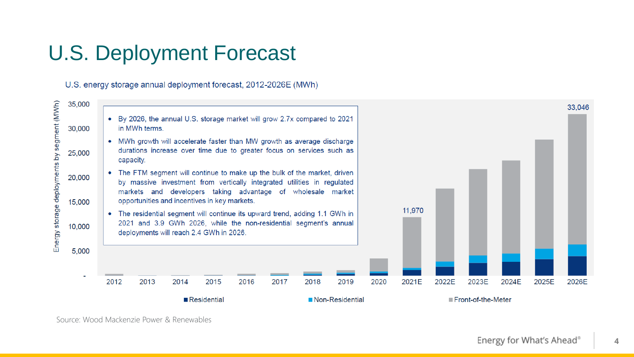# U.S. Deployment Forecast

U.S. energy storage annual deployment forecast, 2012-2026E (MWh)



Source: Wood Mackenzie Power & Renewables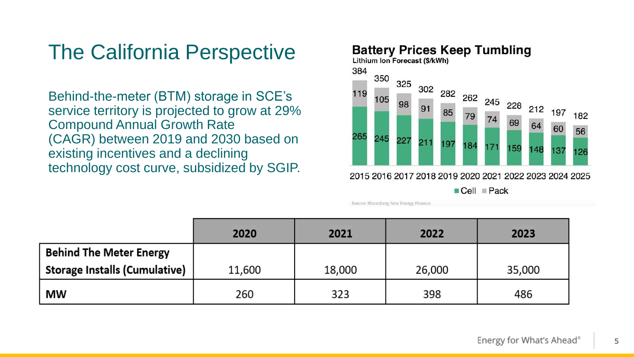# The California Perspective

Behind-the-meter (BTM) storage in SCE's service territory is projected to grow at 29% Compound Annual Growth Rate (CAGR) between 2019 and 2030 based on existing incentives and a declining technology cost curve, subsidized by SGIP.

### **Battery Prices Keep Tumbling** Lithium Ion Forecast (\$/kWh) 384 350



 $\blacksquare$  Cell  $\blacksquare$  Pack

|                                      | 2020   | 2021   | 2022   | 2023   |
|--------------------------------------|--------|--------|--------|--------|
| <b>Behind The Meter Energy</b>       |        |        |        |        |
| <b>Storage Installs (Cumulative)</b> | 11,600 | 18,000 | 26,000 | 35,000 |
| <b>MW</b>                            | 260    | 323    | 398    | 486    |

Source: Bloomberg New Energy Finance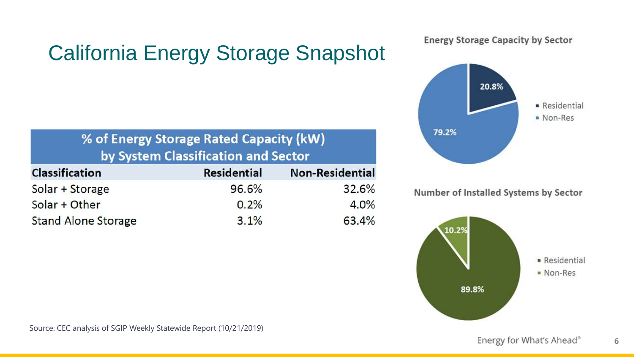# California Energy Storage Snapshot

## % of Energy Storage Rated Capacity (kW) by System Classification and Sector

| <b>Classification</b>      | <b>Residential</b> | <b>Non-Residential</b> |
|----------------------------|--------------------|------------------------|
| Solar + Storage            | 96.6%              | 32.6%                  |
| Solar + Other              | 0.2%               | 4.0%                   |
| <b>Stand Alone Storage</b> | 3.1%               | 63.4%                  |

### **Energy Storage Capacity by Sector**



Number of Installed Systems by Sector

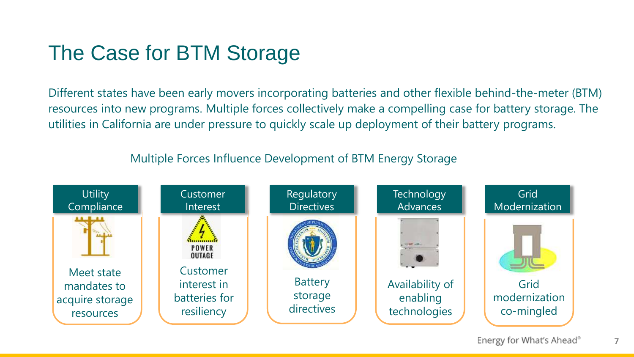# The Case for BTM Storage

Different states have been early movers incorporating batteries and other flexible behind-the-meter (BTM) resources into new programs. Multiple forces collectively make a compelling case for battery storage. The utilities in California are under pressure to quickly scale up deployment of their battery programs.

### Multiple Forces Influence Development of BTM Energy Storage

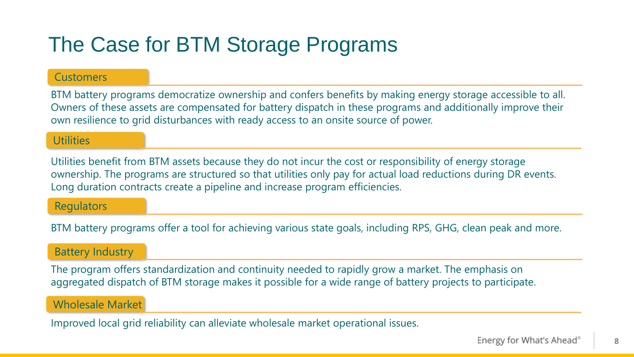# The Case for BTM Storage Programs

### **Customers**

BTM battery programs democratize ownership and confers benefits by making energy storage accessible to all. Owners of these assets are compensated for battery dispatch in these programs and additionally improve their own resilience to grid disturbances with ready access to an onsite source of power.

### **Utilities**

Utilities benefit from BTM assets because they do not incur the cost or responsibility of energy storage ownership. The programs are structured so that utilities only pay for actual load reductions during DR events. Long duration contracts create a pipeline and increase program efficiencies.

### **Regulators**

BTM battery programs offer a tool for achieving various state goals, including RPS, GHG, clean peak and more.

### Battery Industry

The program offers standardization and continuity needed to rapidly grow a market. The emphasis on aggregated dispatch of BTM storage makes it possible for a wide range of battery projects to participate.

### Wholesale Market

Improved local grid reliability can alleviate wholesale market operational issues.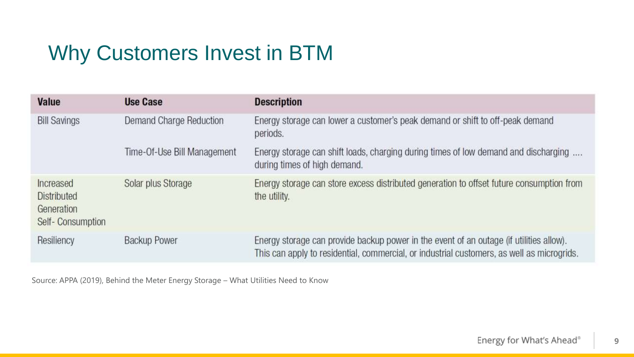# Why Customers Invest in BTM

| Value                                                      | <b>Use Case</b>             | <b>Description</b>                                                                                                                                                                    |  |
|------------------------------------------------------------|-----------------------------|---------------------------------------------------------------------------------------------------------------------------------------------------------------------------------------|--|
| <b>Bill Savings</b>                                        | Demand Charge Reduction     | Energy storage can lower a customer's peak demand or shift to off-peak demand<br>periods.                                                                                             |  |
|                                                            | Time-Of-Use Bill Management | Energy storage can shift loads, charging during times of low demand and discharging<br>during times of high demand.                                                                   |  |
| Increased<br>Distributed<br>Generation<br>Self-Consumption | Solar plus Storage          | Energy storage can store excess distributed generation to offset future consumption from<br>the utility.                                                                              |  |
| Resiliency                                                 | <b>Backup Power</b>         | Energy storage can provide backup power in the event of an outage (if utilities allow).<br>This can apply to residential, commercial, or industrial customers, as well as microgrids. |  |

Source: APPA (2019), Behind the Meter Energy Storage – What Utilities Need to Know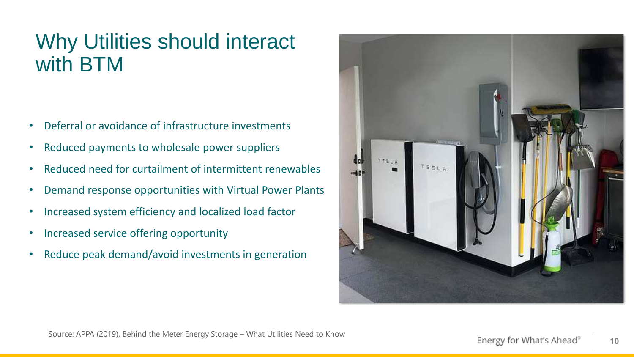# Why Utilities should interact with BTM

- Deferral or avoidance of infrastructure investments
- Reduced payments to wholesale power suppliers
- Reduced need for curtailment of intermittent renewables
- Demand response opportunities with Virtual Power Plants
- Increased system efficiency and localized load factor
- Increased service offering opportunity
- Reduce peak demand/avoid investments in generation

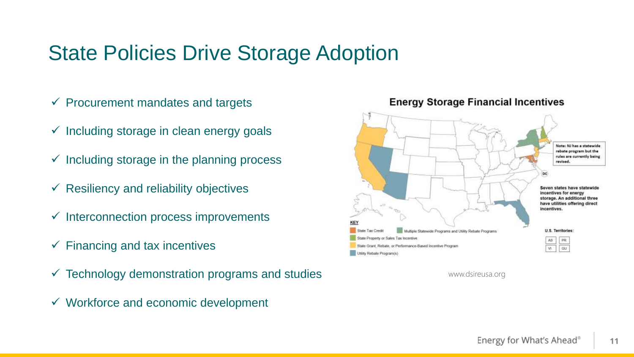## State Policies Drive Storage Adoption

- $\checkmark$  Procurement mandates and targets
- $\checkmark$  Including storage in clean energy goals
- $\checkmark$  Including storage in the planning process
- $\checkmark$  Resiliency and reliability objectives
- $\checkmark$  Interconnection process improvements
- $\checkmark$  Financing and tax incentives
- $\checkmark$  Technology demonstration programs and studies
- $\checkmark$  Workforce and economic development



**Energy Storage Financial Incentives** 

www.dsireusa.org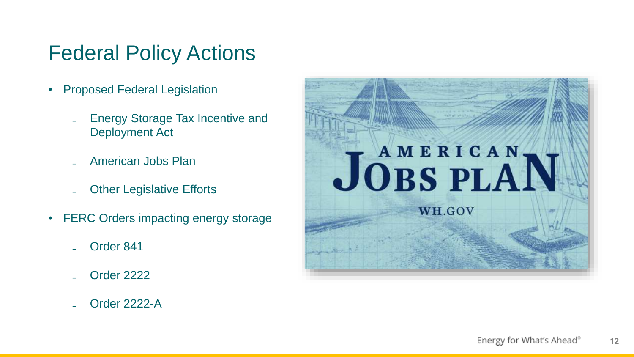## Federal Policy Actions

- Proposed Federal Legislation
	- Energy Storage Tax Incentive and Deployment Act
	- ₋ American Jobs Plan
	- **Other Legislative Efforts**
- FERC Orders impacting energy storage
	- Order 841
	- ₋ Order 2222
	- ₋ Order 2222-A

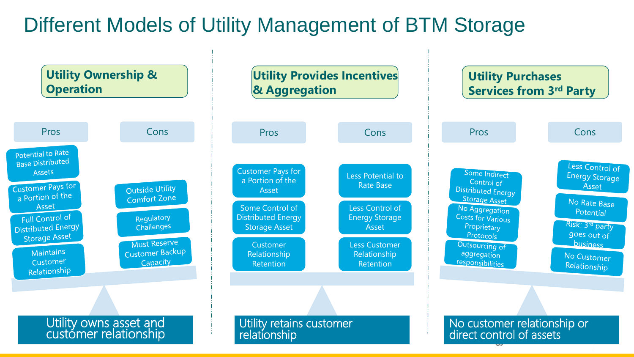# Different Models of Utility Management of BTM Storage

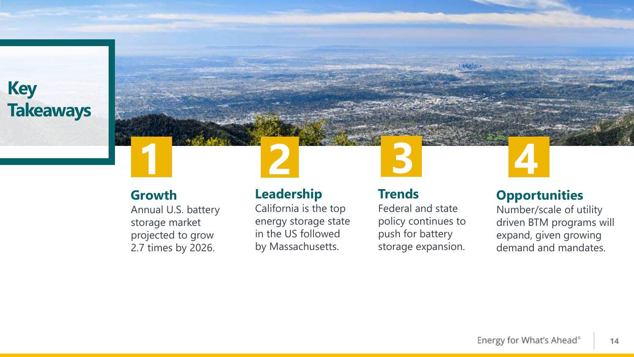**Key Takeaways**



### **Growth**

Annual U.S. battery storage market projected to grow 2.7 times by 2026.

## **Leadership**

California is the top energy storage state in the US followed by Massachusetts.

## **Trends**

Federal and state policy continues to push for battery storage expansion.

### **Opportunities**

Number/scale of utility driven BTM programs will expand, given growing demand and mandates.